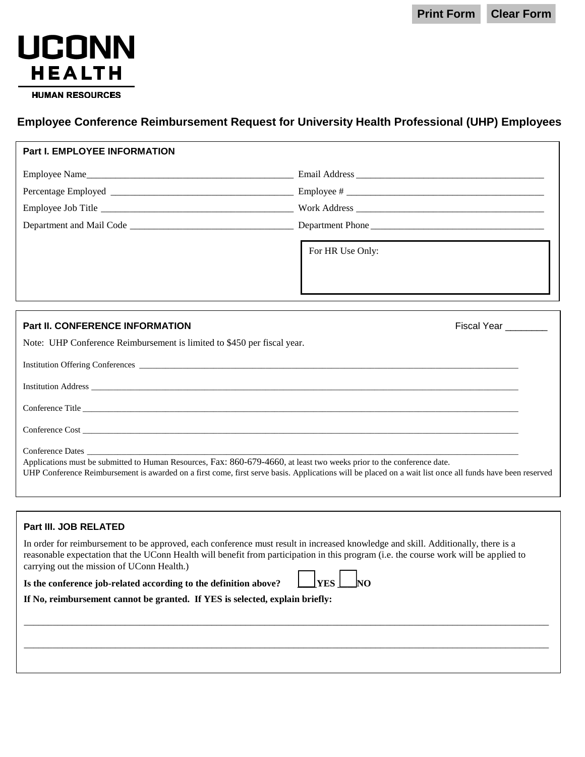**Print Form Clear Form**



## **Employee Conference Reimbursement Request for University Health Professional (UHP) Employees**

| <b>Part I. EMPLOYEE INFORMATION</b>                                                     |                                                                                                                                                                                                                                                   |  |
|-----------------------------------------------------------------------------------------|---------------------------------------------------------------------------------------------------------------------------------------------------------------------------------------------------------------------------------------------------|--|
|                                                                                         |                                                                                                                                                                                                                                                   |  |
|                                                                                         |                                                                                                                                                                                                                                                   |  |
|                                                                                         |                                                                                                                                                                                                                                                   |  |
|                                                                                         |                                                                                                                                                                                                                                                   |  |
|                                                                                         | For HR Use Only:<br>the control of the control of the control of the control of the control of the control of the control of the control of the control of the control of the control of the control of the control of the control of the control |  |
|                                                                                         |                                                                                                                                                                                                                                                   |  |
| <b>Part II. CONFERENCE INFORMATION</b>                                                  | Fiscal Year ________                                                                                                                                                                                                                              |  |
| Note: UHP Conference Reimbursement is limited to \$450 per fiscal year.                 |                                                                                                                                                                                                                                                   |  |
| $\mathbf{r}$ . $\mathbf{r}$ . $\mathbf{r}$ . $\mathbf{r}$ . $\mathbf{r}$ . $\mathbf{r}$ |                                                                                                                                                                                                                                                   |  |

| Conference Dates<br>Applications must be submitted to Human Resources, Fax: 860-679-4660, at least two weeks prior to the conference date. |
|--------------------------------------------------------------------------------------------------------------------------------------------|

## **Part III. JOB RELATED**

In order for reimbursement to be approved, each conference must result in increased knowledge and skill. Additionally, there is a reasonable expectation that the UConn Health will benefit from participation in this program (i.e. the course work will be applied to carrying out the mission of UConn Health.)

\_\_\_\_\_\_\_\_\_\_\_\_\_\_\_\_\_\_\_\_\_\_\_\_\_\_\_\_\_\_\_\_\_\_\_\_\_\_\_\_\_\_\_\_\_\_\_\_\_\_\_\_\_\_\_\_\_\_\_\_\_\_\_\_\_\_\_\_\_\_\_\_\_\_\_\_\_\_\_\_\_\_\_\_\_\_\_\_\_\_\_\_\_\_\_\_\_\_\_\_\_\_\_\_\_\_\_\_\_

\_\_\_\_\_\_\_\_\_\_\_\_\_\_\_\_\_\_\_\_\_\_\_\_\_\_\_\_\_\_\_\_\_\_\_\_\_\_\_\_\_\_\_\_\_\_\_\_\_\_\_\_\_\_\_\_\_\_\_\_\_\_\_\_\_\_\_\_\_\_\_\_\_\_\_\_\_\_\_\_\_\_\_\_\_\_\_\_\_\_\_\_\_\_\_\_\_\_\_\_\_\_\_\_\_\_\_\_\_

## **Is the conference job-related according to the definition above? \_\_\_\_YES \_\_\_\_NO**

**If No, reimbursement cannot be granted. If YES is selected, explain briefly:**